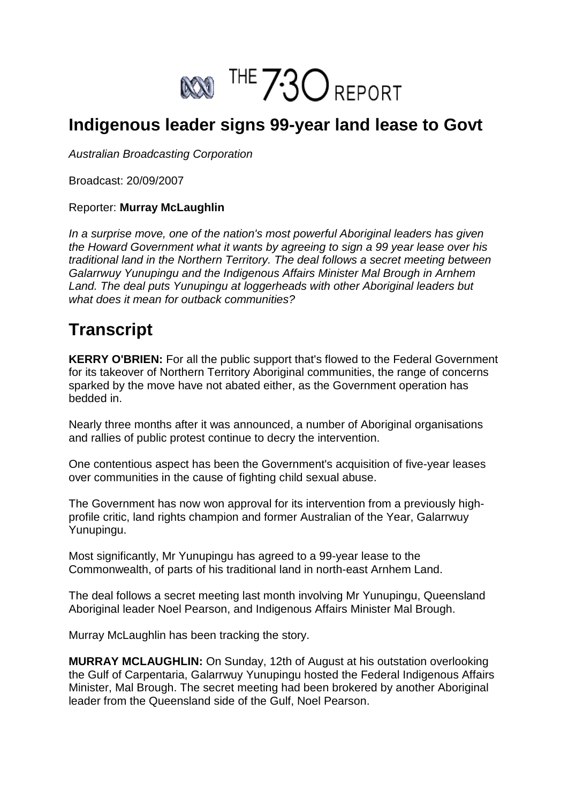

## **Indigenous leader signs 99-year land lease to Govt**

*Australian Broadcasting Corporation*

Broadcast: 20/09/2007

## Reporter: **Murray McLaughlin**

*In a surprise move, one of the nation's most powerful Aboriginal leaders has given the Howard Government what it wants by agreeing to sign a 99 year lease over his traditional land in the Northern Territory. The deal follows a secret meeting between Galarrwuy Yunupingu and the Indigenous Affairs Minister Mal Brough in Arnhem Land. The deal puts Yunupingu at loggerheads with other Aboriginal leaders but what does it mean for outback communities?*

## **Transcript**

**KERRY O'BRIEN:** For all the public support that's flowed to the Federal Government for its takeover of Northern Territory Aboriginal communities, the range of concerns sparked by the move have not abated either, as the Government operation has bedded in.

Nearly three months after it was announced, a number of Aboriginal organisations and rallies of public protest continue to decry the intervention.

One contentious aspect has been the Government's acquisition of five-year leases over communities in the cause of fighting child sexual abuse.

The Government has now won approval for its intervention from a previously highprofile critic, land rights champion and former Australian of the Year, Galarrwuy Yunupingu.

Most significantly, Mr Yunupingu has agreed to a 99-year lease to the Commonwealth, of parts of his traditional land in north-east Arnhem Land.

The deal follows a secret meeting last month involving Mr Yunupingu, Queensland Aboriginal leader Noel Pearson, and Indigenous Affairs Minister Mal Brough.

Murray McLaughlin has been tracking the story.

**MURRAY MCLAUGHLIN:** On Sunday, 12th of August at his outstation overlooking the Gulf of Carpentaria, Galarrwuy Yunupingu hosted the Federal Indigenous Affairs Minister, Mal Brough. The secret meeting had been brokered by another Aboriginal leader from the Queensland side of the Gulf, Noel Pearson.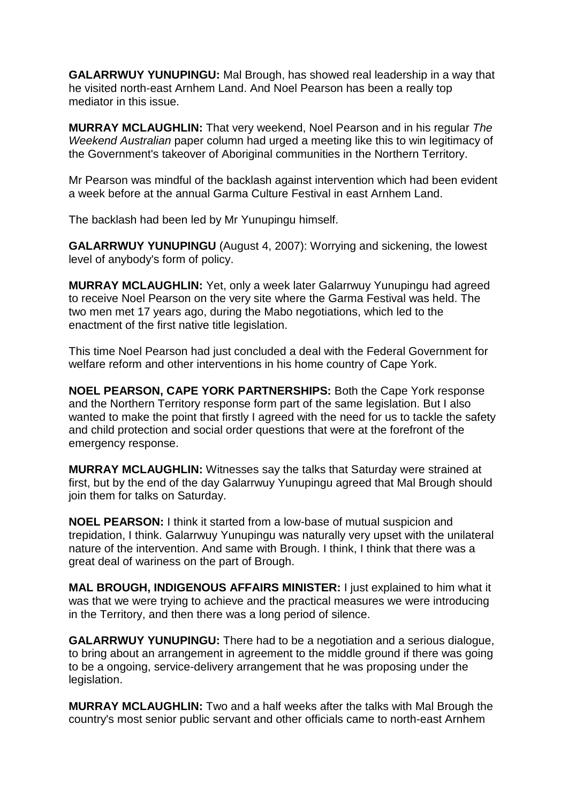**GALARRWUY YUNUPINGU:** Mal Brough, has showed real leadership in a way that he visited north-east Arnhem Land. And Noel Pearson has been a really top mediator in this issue.

**MURRAY MCLAUGHLIN:** That very weekend, Noel Pearson and in his regular *The Weekend Australian* paper column had urged a meeting like this to win legitimacy of the Government's takeover of Aboriginal communities in the Northern Territory.

Mr Pearson was mindful of the backlash against intervention which had been evident a week before at the annual Garma Culture Festival in east Arnhem Land.

The backlash had been led by Mr Yunupingu himself.

**GALARRWUY YUNUPINGU** (August 4, 2007): Worrying and sickening, the lowest level of anybody's form of policy.

**MURRAY MCLAUGHLIN:** Yet, only a week later Galarrwuy Yunupingu had agreed to receive Noel Pearson on the very site where the Garma Festival was held. The two men met 17 years ago, during the Mabo negotiations, which led to the enactment of the first native title legislation.

This time Noel Pearson had just concluded a deal with the Federal Government for welfare reform and other interventions in his home country of Cape York.

**NOEL PEARSON, CAPE YORK PARTNERSHIPS:** Both the Cape York response and the Northern Territory response form part of the same legislation. But I also wanted to make the point that firstly I agreed with the need for us to tackle the safety and child protection and social order questions that were at the forefront of the emergency response.

**MURRAY MCLAUGHLIN:** Witnesses say the talks that Saturday were strained at first, but by the end of the day Galarrwuy Yunupingu agreed that Mal Brough should join them for talks on Saturday.

**NOEL PEARSON:** I think it started from a low-base of mutual suspicion and trepidation, I think. Galarrwuy Yunupingu was naturally very upset with the unilateral nature of the intervention. And same with Brough. I think, I think that there was a great deal of wariness on the part of Brough.

**MAL BROUGH, INDIGENOUS AFFAIRS MINISTER:** I just explained to him what it was that we were trying to achieve and the practical measures we were introducing in the Territory, and then there was a long period of silence.

**GALARRWUY YUNUPINGU:** There had to be a negotiation and a serious dialogue, to bring about an arrangement in agreement to the middle ground if there was going to be a ongoing, service-delivery arrangement that he was proposing under the legislation.

**MURRAY MCLAUGHLIN:** Two and a half weeks after the talks with Mal Brough the country's most senior public servant and other officials came to north-east Arnhem